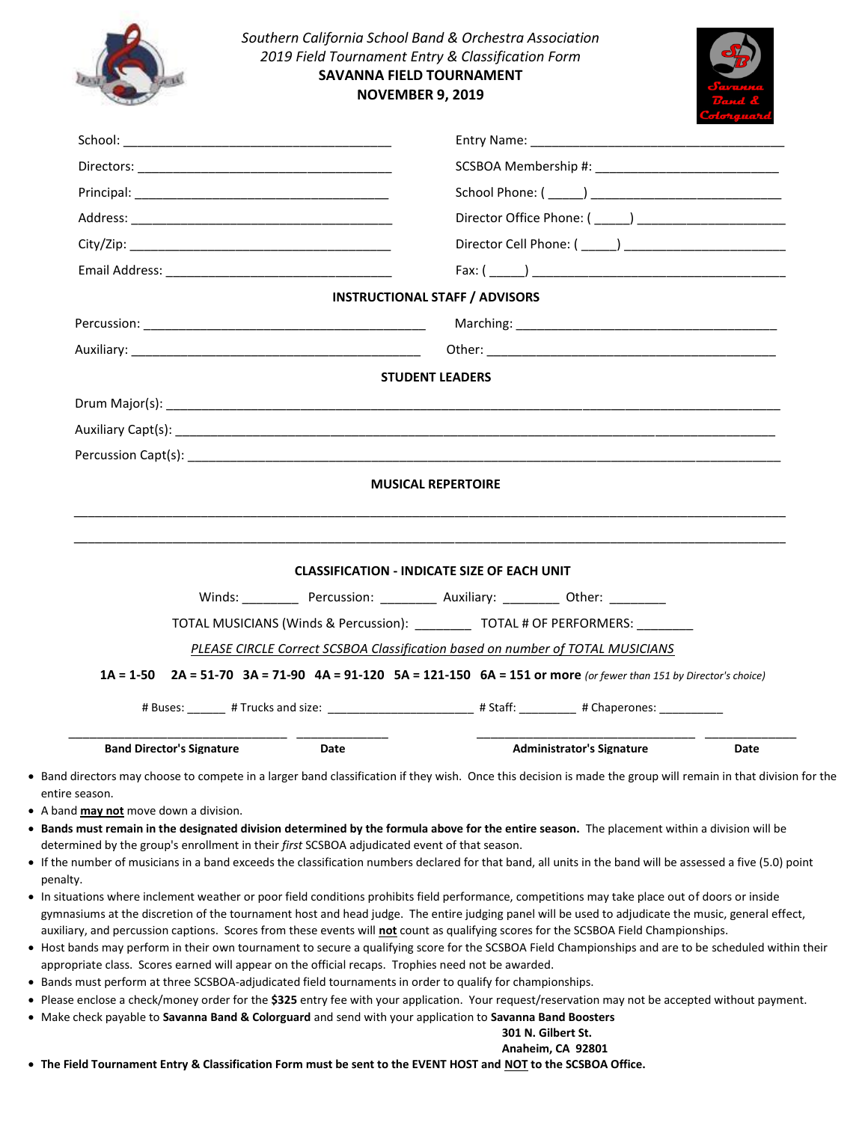|                                  | <b>SAVANNA FIELD TOURNAMENT</b><br><b>NOVEMBER 9, 2019</b> |                                                                                                                                                                |      |
|----------------------------------|------------------------------------------------------------|----------------------------------------------------------------------------------------------------------------------------------------------------------------|------|
|                                  |                                                            |                                                                                                                                                                |      |
|                                  |                                                            |                                                                                                                                                                |      |
|                                  |                                                            |                                                                                                                                                                |      |
|                                  |                                                            |                                                                                                                                                                |      |
|                                  |                                                            | <b>INSTRUCTIONAL STAFF / ADVISORS</b>                                                                                                                          |      |
|                                  |                                                            |                                                                                                                                                                |      |
|                                  |                                                            |                                                                                                                                                                |      |
|                                  |                                                            | <b>STUDENT LEADERS</b>                                                                                                                                         |      |
|                                  |                                                            |                                                                                                                                                                |      |
|                                  |                                                            |                                                                                                                                                                |      |
|                                  |                                                            |                                                                                                                                                                |      |
|                                  |                                                            | <b>MUSICAL REPERTOIRE</b>                                                                                                                                      |      |
|                                  |                                                            | <b>CLASSIFICATION - INDICATE SIZE OF EACH UNIT</b><br>Winds: Percussion: __________ Auxiliary: _________ Other: _________                                      |      |
|                                  |                                                            | TOTAL MUSICIANS (Winds & Percussion): ___________ TOTAL # OF PERFORMERS: ________                                                                              |      |
|                                  |                                                            | PLEASE CIRCLE Correct SCSBOA Classification based on number of TOTAL MUSICIANS                                                                                 |      |
|                                  |                                                            | 1A = 1-50 2A = 51-70 3A = 71-90 4A = 91-120 5A = 121-150 6A = 151 or more (or fewer than 151 by Director's choice)                                             |      |
|                                  |                                                            | # Buses: _______ # Trucks and size: _______________________ # Staff: _________ # Chaperones: ______                                                            |      |
|                                  |                                                            | <b>Administrator's Signature</b>                                                                                                                               |      |
| <b>Band Director's Signature</b> | Date                                                       | • Band directors may choose to compete in a larger band classification if they wish. Once this decision is made the group will remain in that division for the | Date |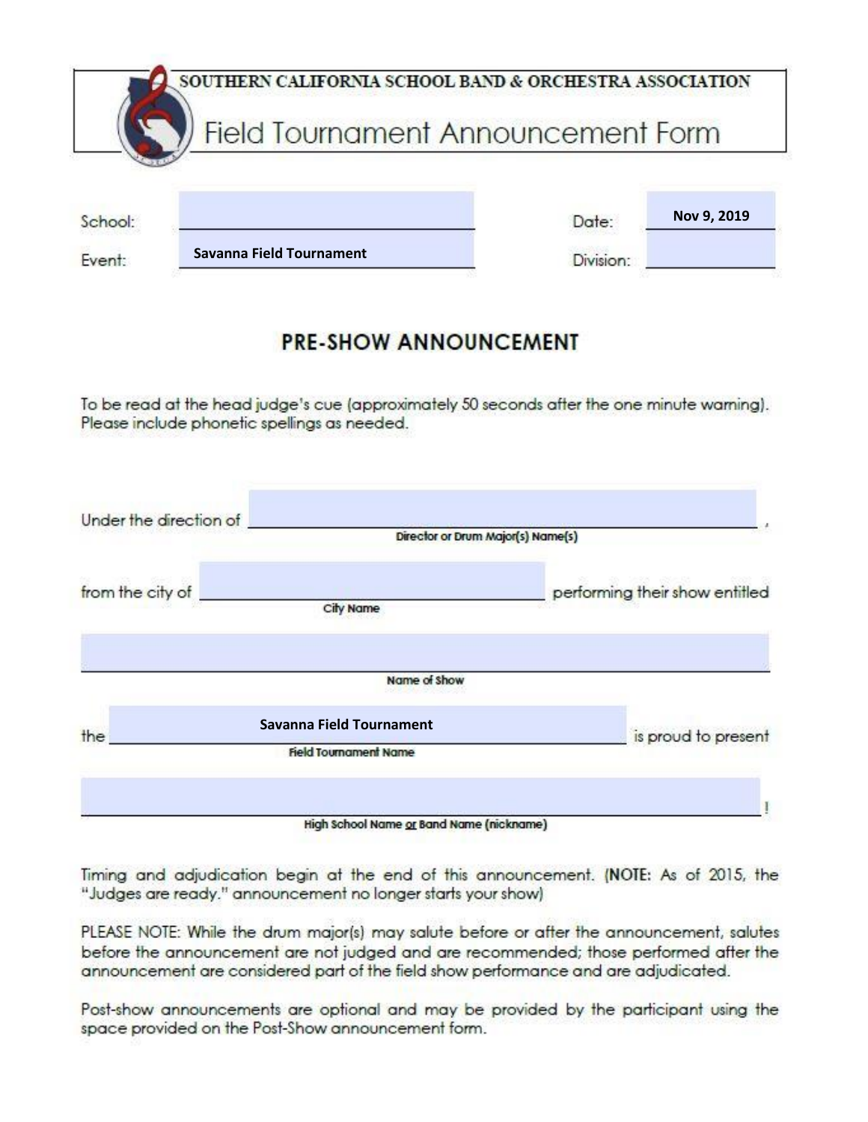|         | SOUTHERN CALIFORNIA SCHOOL BAND & ORCHESTRA ASSOCIATION |       |             |
|---------|---------------------------------------------------------|-------|-------------|
|         | Field Tournament Announcement Form                      |       |             |
|         |                                                         |       |             |
| School: |                                                         | Date: | Nov 9, 2019 |
|         |                                                         |       |             |

## **PRE-SHOW ANNOUNCEMENT**

To be read at the head judge's cue (approximately 50 seconds after the one minute warning). Please include phonetic spellings as needed.

| Under the direction of |                                                                 | Director or Drum Major(s) Name(s) |
|------------------------|-----------------------------------------------------------------|-----------------------------------|
| from the city of       | City Name                                                       | performing their show entitled    |
|                        | Name of Show                                                    |                                   |
|                        | <b>Savanna Field Tournament</b><br><b>Field Tournament Name</b> | is proud to present               |
| the                    | High School Name or Band Name (nickname)                        |                                   |

Timing and adjudication begin at the end of this announcement. (NOTE: As of 2015, the "Judges are ready." announcement no longer starts your show)

PLEASE NOTE: While the drum major(s) may salute before or after the announcement, salutes before the announcement are not judged and are recommended; those performed after the announcement are considered part of the field show performance and are adjudicated.

Post-show announcements are optional and may be provided by the participant using the space provided on the Post-Show announcement form.